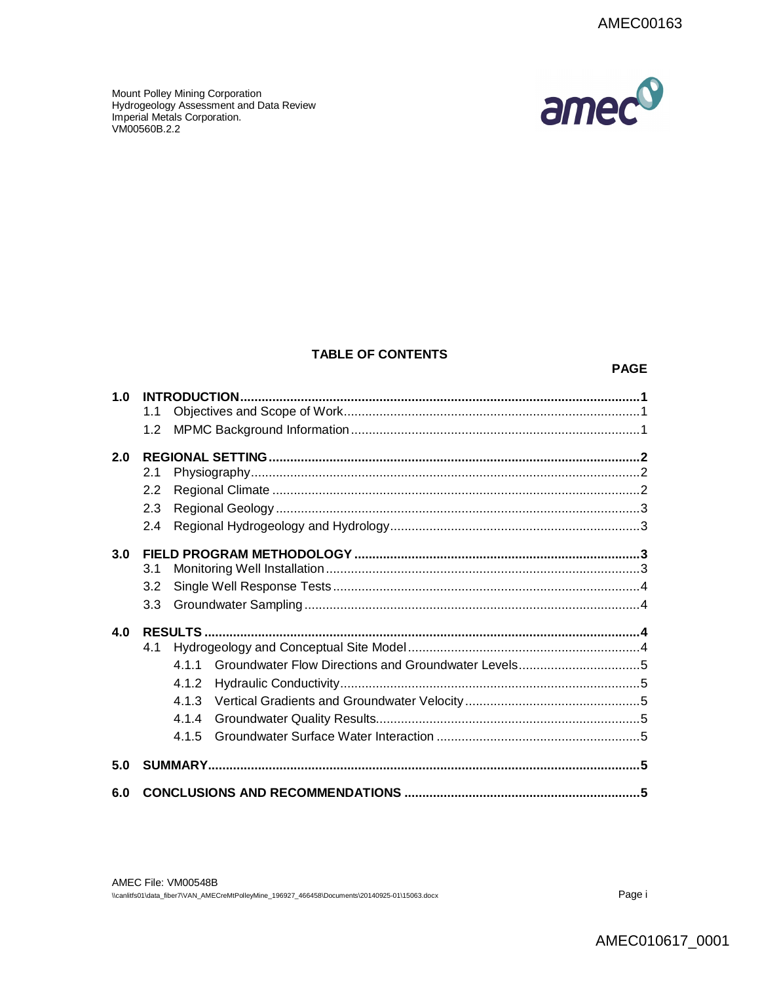Mount Polley Mining Corporation Hydrogeology Assessment and Data Review Imperial Metals Corporation. VM00560B.2.2



# **TABLE OF CONTENTS**

#### **PAGE**

| 4.1<br>4 1 1<br>4.1.2<br>4.1.4<br>4.1.5 |            |
|-----------------------------------------|------------|
|                                         |            |
|                                         |            |
|                                         |            |
|                                         |            |
|                                         |            |
|                                         |            |
|                                         |            |
|                                         |            |
| 3.3                                     |            |
| 3.2                                     |            |
| 3.1                                     |            |
|                                         |            |
| 2.4                                     |            |
| 2.3                                     |            |
| 2.2                                     |            |
| 2.1                                     |            |
|                                         |            |
|                                         |            |
|                                         |            |
|                                         | 1.1<br>1.2 |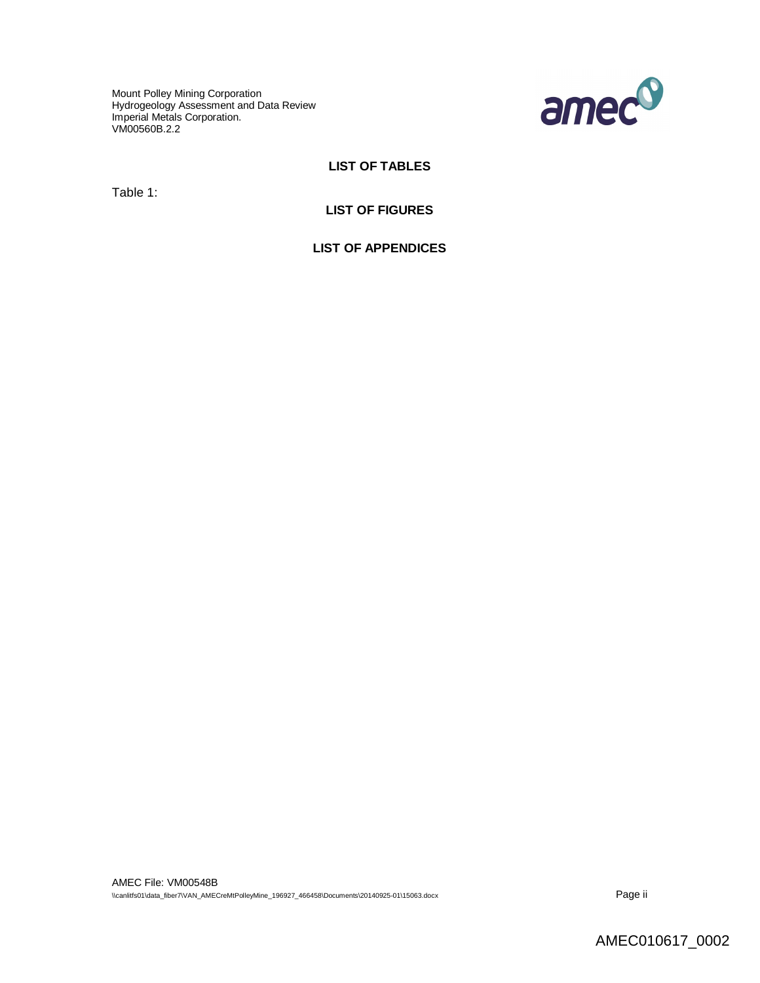Mount Polley Mining Corporation Hydrogeology Assessment and Data Review Imperial Metals Corporation. VM00560B.2.2



## **LIST OF TABLES**

Table 1:

#### **LIST OF FIGURES**

**LIST OF APPENDICES**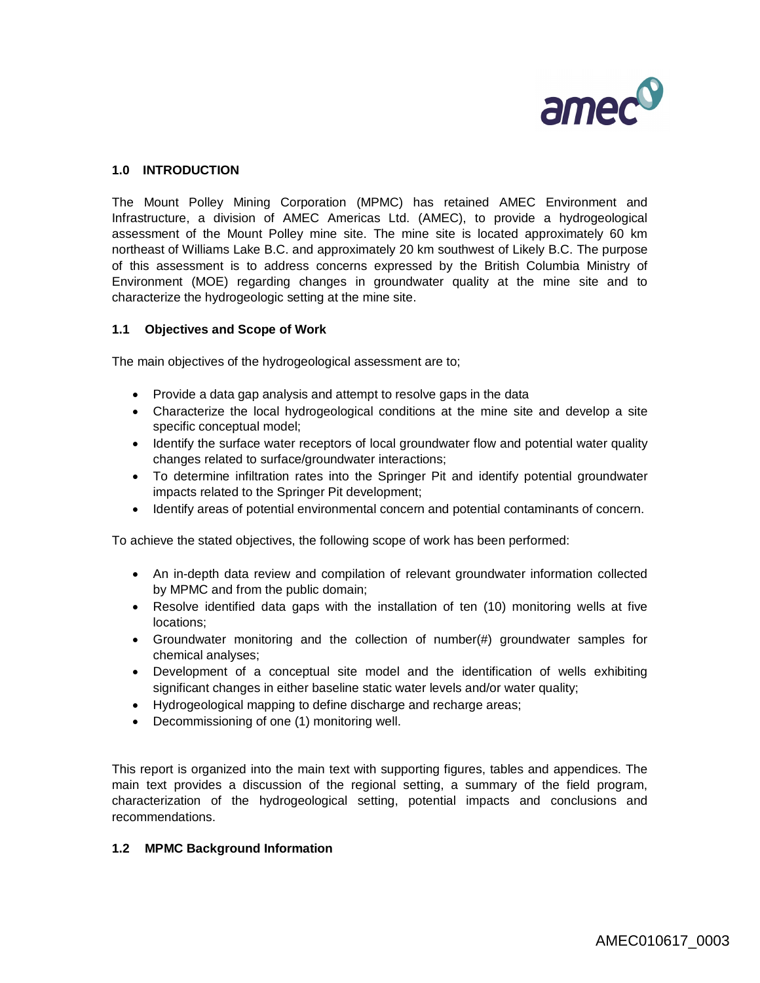

# **1.0 INTRODUCTION**

The Mount Polley Mining Corporation (MPMC) has retained AMEC Environment and Infrastructure, a division of AMEC Americas Ltd. (AMEC), to provide a hydrogeological assessment of the Mount Polley mine site. The mine site is located approximately 60 km northeast of Williams Lake B.C. and approximately 20 km southwest of Likely B.C. The purpose of this assessment is to address concerns expressed by the British Columbia Ministry of Environment (MOE) regarding changes in groundwater quality at the mine site and to characterize the hydrogeologic setting at the mine site.

#### **1.1 Objectives and Scope of Work**

The main objectives of the hydrogeological assessment are to;

- Provide a data gap analysis and attempt to resolve gaps in the data
- Characterize the local hydrogeological conditions at the mine site and develop a site specific conceptual model;
- Identify the surface water receptors of local groundwater flow and potential water quality changes related to surface/groundwater interactions;
- To determine infiltration rates into the Springer Pit and identify potential groundwater impacts related to the Springer Pit development;
- Identify areas of potential environmental concern and potential contaminants of concern.

To achieve the stated objectives, the following scope of work has been performed:

- An in-depth data review and compilation of relevant groundwater information collected by MPMC and from the public domain;
- Resolve identified data gaps with the installation of ten (10) monitoring wells at five locations;
- Groundwater monitoring and the collection of number(#) groundwater samples for chemical analyses;
- Development of a conceptual site model and the identification of wells exhibiting significant changes in either baseline static water levels and/or water quality;
- Hydrogeological mapping to define discharge and recharge areas;
- Decommissioning of one (1) monitoring well.

This report is organized into the main text with supporting figures, tables and appendices. The main text provides a discussion of the regional setting, a summary of the field program, characterization of the hydrogeological setting, potential impacts and conclusions and recommendations.

#### **1.2 MPMC Background Information**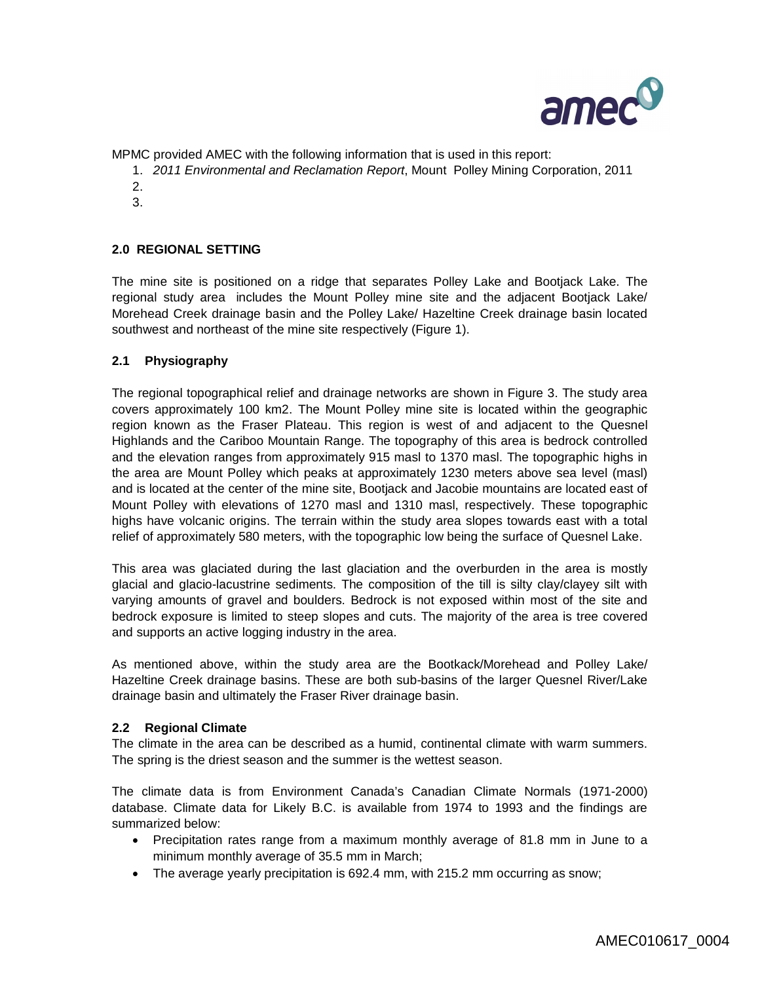

MPMC provided AMEC with the following information that is used in this report:

- 1. *2011 Environmental and Reclamation Report*, Mount Polley Mining Corporation, 2011
- 2.
- 3.

# **2.0 REGIONAL SETTING**

The mine site is positioned on a ridge that separates Polley Lake and Bootjack Lake. The regional study area includes the Mount Polley mine site and the adjacent Bootjack Lake/ Morehead Creek drainage basin and the Polley Lake/ Hazeltine Creek drainage basin located southwest and northeast of the mine site respectively (Figure 1).

# **2.1 Physiography**

The regional topographical relief and drainage networks are shown in Figure 3. The study area covers approximately 100 km2. The Mount Polley mine site is located within the geographic region known as the Fraser Plateau. This region is west of and adjacent to the Quesnel Highlands and the Cariboo Mountain Range. The topography of this area is bedrock controlled and the elevation ranges from approximately 915 masl to 1370 masl. The topographic highs in the area are Mount Polley which peaks at approximately 1230 meters above sea level (masl) and is located at the center of the mine site, Bootjack and Jacobie mountains are located east of Mount Polley with elevations of 1270 masl and 1310 masl, respectively. These topographic highs have volcanic origins. The terrain within the study area slopes towards east with a total relief of approximately 580 meters, with the topographic low being the surface of Quesnel Lake.

This area was glaciated during the last glaciation and the overburden in the area is mostly glacial and glacio-lacustrine sediments. The composition of the till is silty clay/clayey silt with varying amounts of gravel and boulders. Bedrock is not exposed within most of the site and bedrock exposure is limited to steep slopes and cuts. The majority of the area is tree covered and supports an active logging industry in the area.

As mentioned above, within the study area are the Bootkack/Morehead and Polley Lake/ Hazeltine Creek drainage basins. These are both sub-basins of the larger Quesnel River/Lake drainage basin and ultimately the Fraser River drainage basin.

### **2.2 Regional Climate**

The climate in the area can be described as a humid, continental climate with warm summers. The spring is the driest season and the summer is the wettest season.

The climate data is from Environment Canada's Canadian Climate Normals (1971-2000) database. Climate data for Likely B.C. is available from 1974 to 1993 and the findings are summarized below:

- Precipitation rates range from a maximum monthly average of 81.8 mm in June to a minimum monthly average of 35.5 mm in March;
- The average yearly precipitation is 692.4 mm, with 215.2 mm occurring as snow;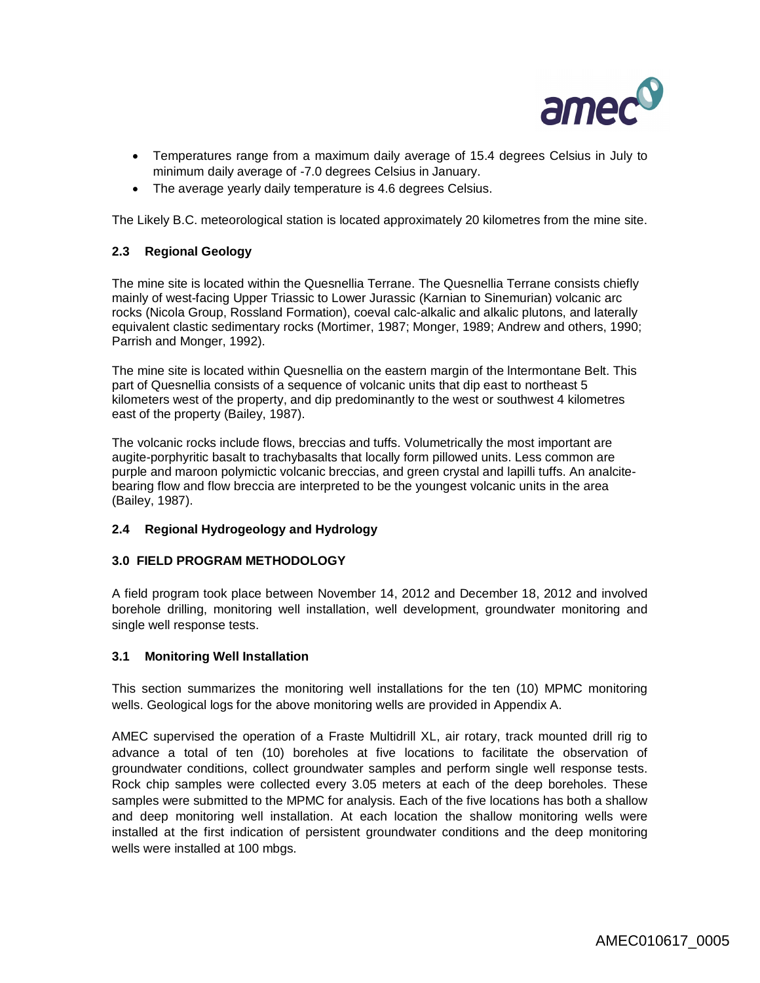

- Temperatures range from a maximum daily average of 15.4 degrees Celsius in July to minimum daily average of -7.0 degrees Celsius in January.
- The average yearly daily temperature is 4.6 degrees Celsius.

The Likely B.C. meteorological station is located approximately 20 kilometres from the mine site.

# **2.3 Regional Geology**

The mine site is located within the Quesnellia Terrane. The Quesnellia Terrane consists chiefly mainly of west-facing Upper Triassic to Lower Jurassic (Karnian to Sinemurian) volcanic arc rocks (Nicola Group, Rossland Formation), coeval calc-alkalic and alkalic plutons, and laterally equivalent clastic sedimentary rocks (Mortimer, 1987; Monger, 1989; Andrew and others, 1990; Parrish and Monger, 1992).

The mine site is located within Quesnellia on the eastern margin of the lntermontane Belt. This part of Quesnellia consists of a sequence of volcanic units that dip east to northeast 5 kilometers west of the property, and dip predominantly to the west or southwest 4 kilometres east of the property (Bailey, 1987).

The volcanic rocks include flows, breccias and tuffs. Volumetrically the most important are augite-porphyritic basalt to trachybasalts that locally form pillowed units. Less common are purple and maroon polymictic volcanic breccias, and green crystal and lapilli tuffs. An analcitebearing flow and flow breccia are interpreted to be the youngest volcanic units in the area (Bailey, 1987).

### **2.4 Regional Hydrogeology and Hydrology**

### **3.0 FIELD PROGRAM METHODOLOGY**

A field program took place between November 14, 2012 and December 18, 2012 and involved borehole drilling, monitoring well installation, well development, groundwater monitoring and single well response tests.

### **3.1 Monitoring Well Installation**

This section summarizes the monitoring well installations for the ten (10) MPMC monitoring wells. Geological logs for the above monitoring wells are provided in Appendix A.

AMEC supervised the operation of a Fraste Multidrill XL, air rotary, track mounted drill rig to advance a total of ten (10) boreholes at five locations to facilitate the observation of groundwater conditions, collect groundwater samples and perform single well response tests. Rock chip samples were collected every 3.05 meters at each of the deep boreholes. These samples were submitted to the MPMC for analysis. Each of the five locations has both a shallow and deep monitoring well installation. At each location the shallow monitoring wells were installed at the first indication of persistent groundwater conditions and the deep monitoring wells were installed at 100 mbgs.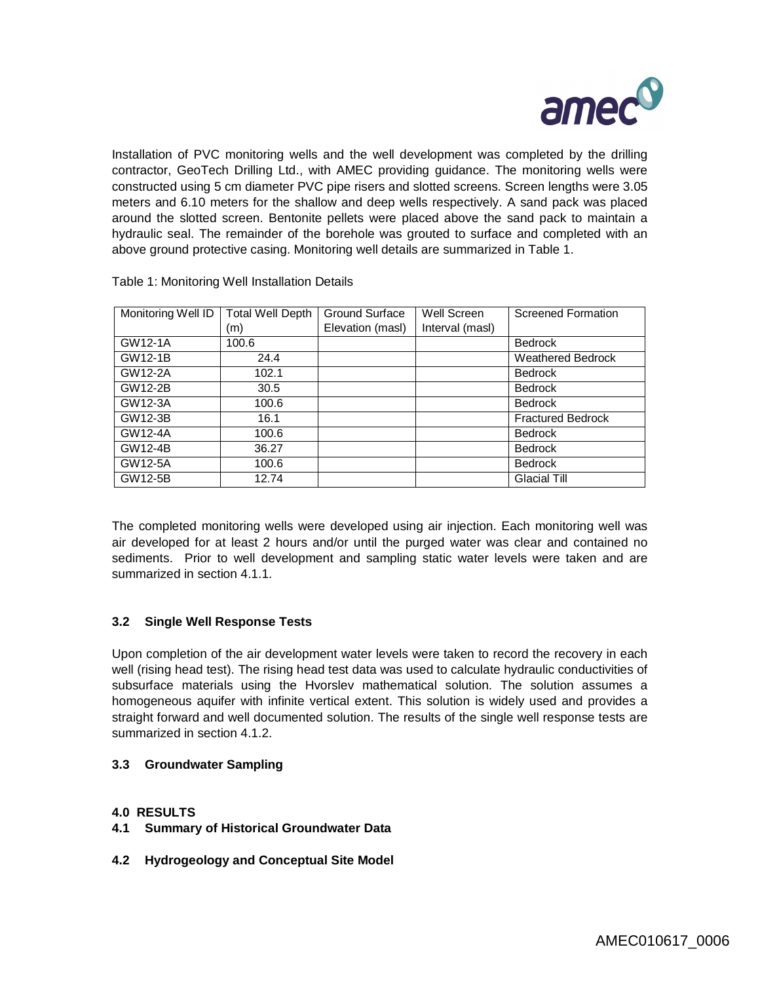

Installation of PVC monitoring wells and the well development was completed by the drilling contractor, GeoTech Drilling Ltd., with AMEC providing guidance. The monitoring wells were constructed using 5 cm diameter PVC pipe risers and slotted screens. Screen lengths were 3.05 meters and 6.10 meters for the shallow and deep wells respectively. A sand pack was placed around the slotted screen. Bentonite pellets were placed above the sand pack to maintain a hydraulic seal. The remainder of the borehole was grouted to surface and completed with an above ground protective casing. Monitoring well details are summarized in Table 1.

|                    |                         |                  | Well Screen     |                           |
|--------------------|-------------------------|------------------|-----------------|---------------------------|
| Monitoring Well ID | <b>Total Well Depth</b> | Ground Surface   |                 | <b>Screened Formation</b> |
|                    | (m)                     | Elevation (masl) | Interval (masl) |                           |
| GW12-1A            | 100.6                   |                  |                 | <b>Bedrock</b>            |
| GW12-1B            | 24.4                    |                  |                 | <b>Weathered Bedrock</b>  |
| GW12-2A            | 102.1                   |                  |                 | <b>Bedrock</b>            |
| GW12-2B            | 30.5                    |                  |                 | <b>Bedrock</b>            |
| GW12-3A            | 100.6                   |                  |                 | <b>Bedrock</b>            |
| GW12-3B            | 16.1                    |                  |                 | <b>Fractured Bedrock</b>  |
| GW12-4A            | 100.6                   |                  |                 | <b>Bedrock</b>            |
| GW12-4B            | 36.27                   |                  |                 | <b>Bedrock</b>            |
| GW12-5A            | 100.6                   |                  |                 | <b>Bedrock</b>            |
| GW12-5B            | 12.74                   |                  |                 | <b>Glacial Till</b>       |

Table 1: Monitoring Well Installation Details

The completed monitoring wells were developed using air injection. Each monitoring well was air developed for at least 2 hours and/or until the purged water was clear and contained no sediments. Prior to well development and sampling static water levels were taken and are summarized in section 4.1.1.

### **3.2 Single Well Response Tests**

Upon completion of the air development water levels were taken to record the recovery in each well (rising head test). The rising head test data was used to calculate hydraulic conductivities of subsurface materials using the Hvorslev mathematical solution. The solution assumes a homogeneous aquifer with infinite vertical extent. This solution is widely used and provides a straight forward and well documented solution. The results of the single well response tests are summarized in section 4.1.2.

### **3.3 Groundwater Sampling**

### **4.0 RESULTS**

- **4.1 Summary of Historical Groundwater Data**
- **4.2 Hydrogeology and Conceptual Site Model**